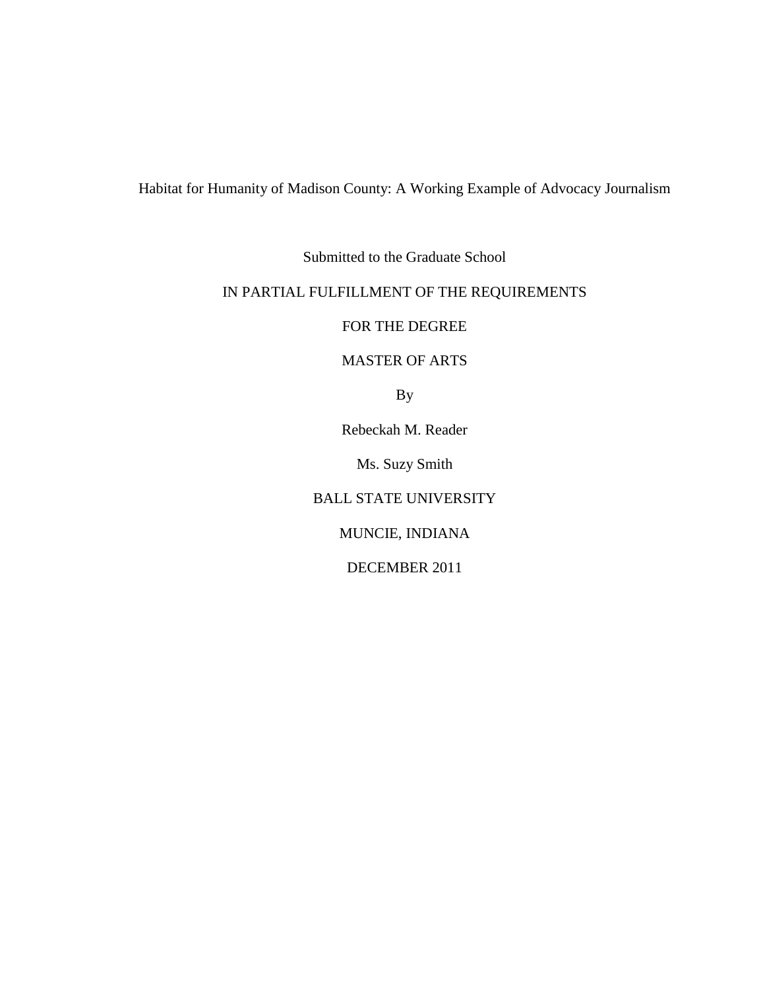## Habitat for Humanity of Madison County: A Working Example of Advocacy Journalism

Submitted to the Graduate School

### IN PARTIAL FULFILLMENT OF THE REQUIREMENTS

FOR THE DEGREE

MASTER OF ARTS

By

Rebeckah M. Reader

Ms. Suzy Smith

BALL STATE UNIVERSITY

MUNCIE, INDIANA

DECEMBER 2011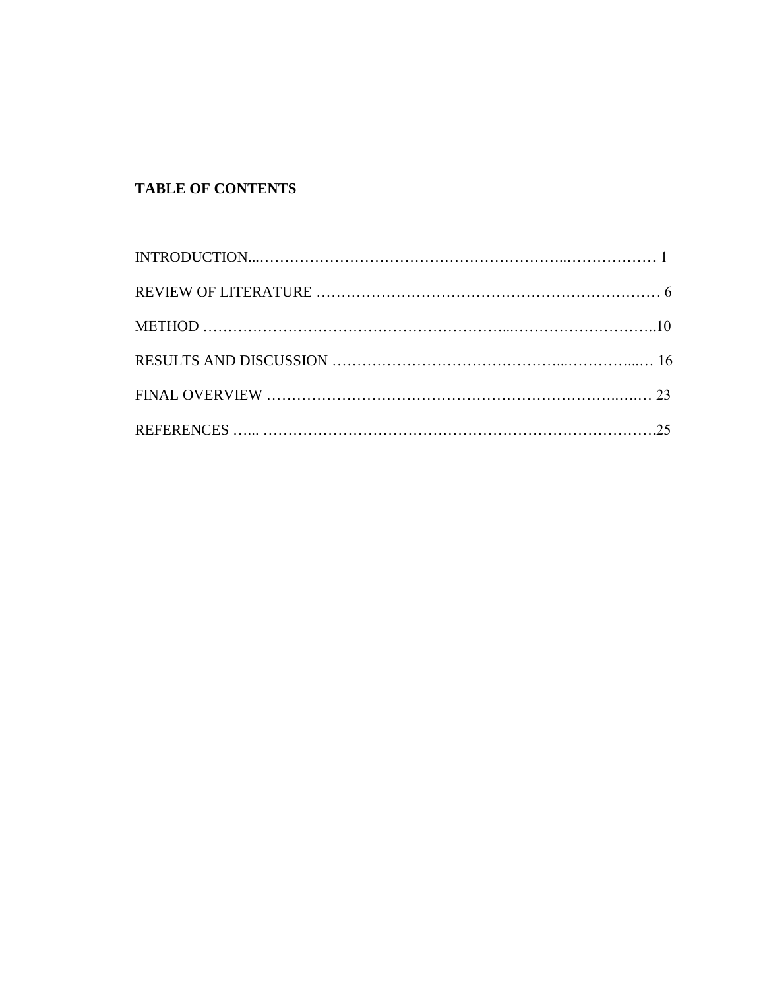# **TABLE OF CONTENTS**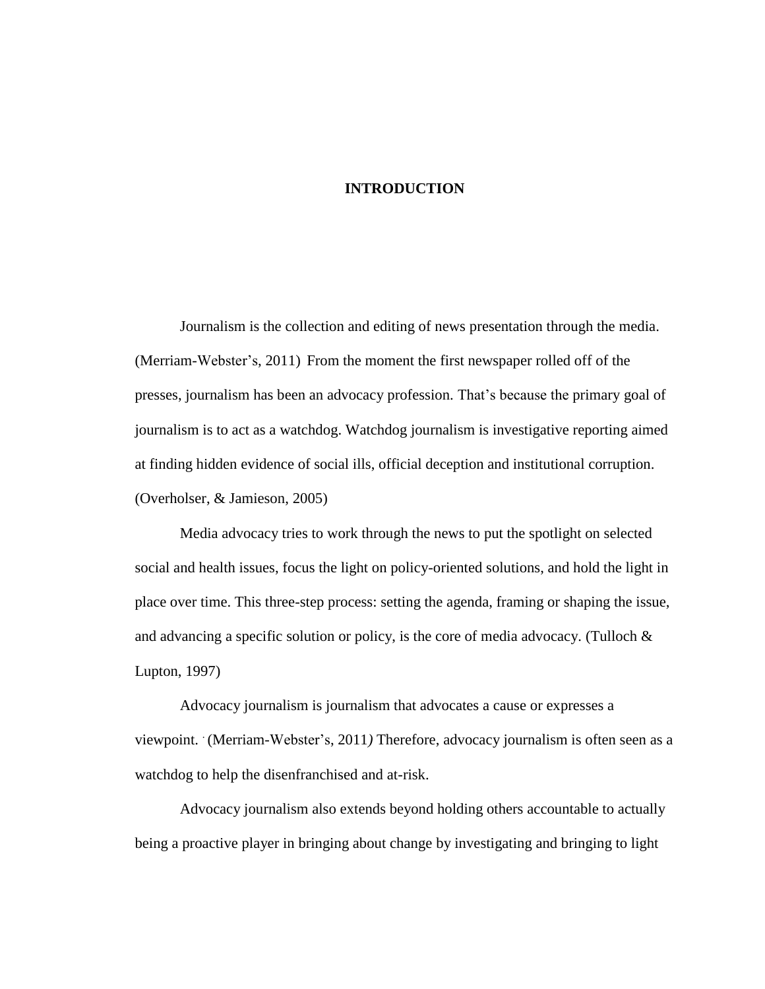#### **INTRODUCTION**

Journalism is the collection and editing of news presentation through the media. (Merriam*-*Webster"s, 2011) From the moment the first newspaper rolled off of the presses, journalism has been an advocacy profession. That"s because the primary goal of journalism is to act as a watchdog. Watchdog journalism is investigative reporting aimed at finding hidden evidence of social ills, official deception and institutional corruption. (Overholser, & Jamieson, 2005)

Media advocacy tries to work through the news to put the spotlight on selected social and health issues, focus the light on policy-oriented solutions, and hold the light in place over time. This three-step process: setting the agenda, framing or shaping the issue, and advancing a specific solution or policy, is the core of media advocacy. (Tulloch & Lupton, 1997)

Advocacy journalism is journalism that advocates a cause or expresses a viewpoint. (Merriam-Webster's, 2011) Therefore, advocacy journalism is often seen as a watchdog to help the disenfranchised and at-risk.

Advocacy journalism also extends beyond holding others accountable to actually being a proactive player in bringing about change by investigating and bringing to light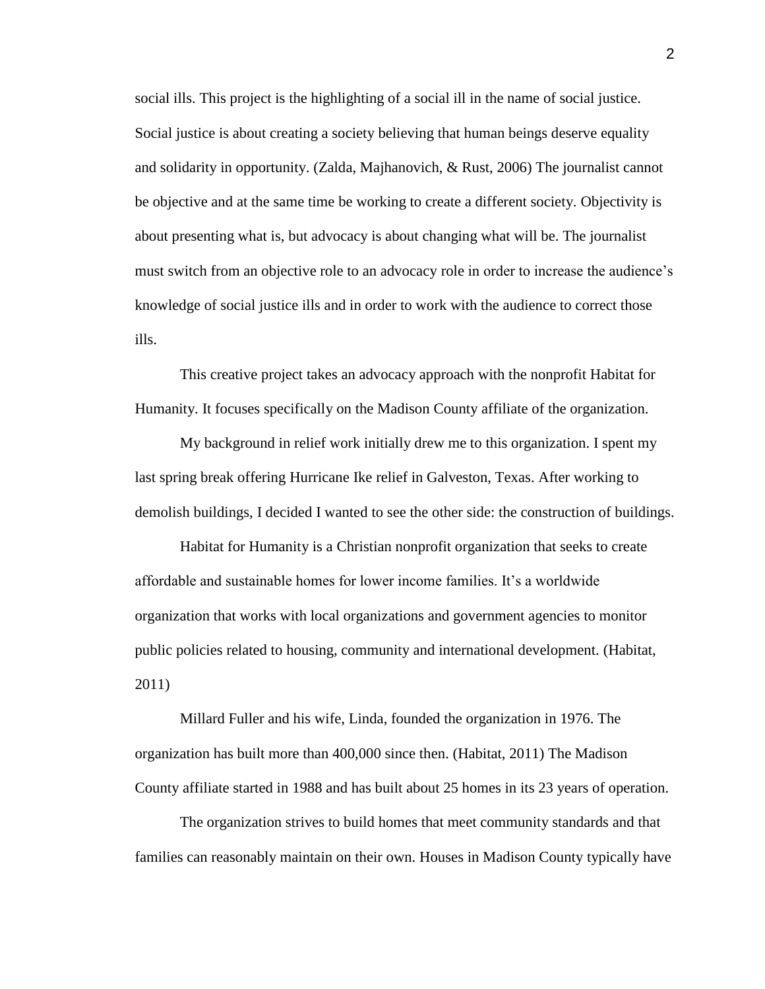social ills. This project is the highlighting of a social ill in the name of social justice. Social justice is about creating a society believing that human beings deserve equality and solidarity in opportunity. (Zalda, Majhanovich, & Rust, 2006) The journalist cannot be objective and at the same time be working to create a different society. Objectivity is about presenting what is, but advocacy is about changing what will be. The journalist must switch from an objective role to an advocacy role in order to increase the audience"s knowledge of social justice ills and in order to work with the audience to correct those ills.

This creative project takes an advocacy approach with the nonprofit Habitat for Humanity. It focuses specifically on the Madison County affiliate of the organization.

My background in relief work initially drew me to this organization. I spent my last spring break offering Hurricane Ike relief in Galveston, Texas. After working to demolish buildings, I decided I wanted to see the other side: the construction of buildings.

Habitat for Humanity is a Christian nonprofit organization that seeks to create affordable and sustainable homes for lower income families. It"s a worldwide organization that works with local organizations and government agencies to monitor public policies related to housing, community and international development. (Habitat, 2011)

Millard Fuller and his wife, Linda, founded the organization in 1976. The organization has built more than 400,000 since then. (Habitat, 2011) The Madison County affiliate started in 1988 and has built about 25 homes in its 23 years of operation.

The organization strives to build homes that meet community standards and that families can reasonably maintain on their own. Houses in Madison County typically have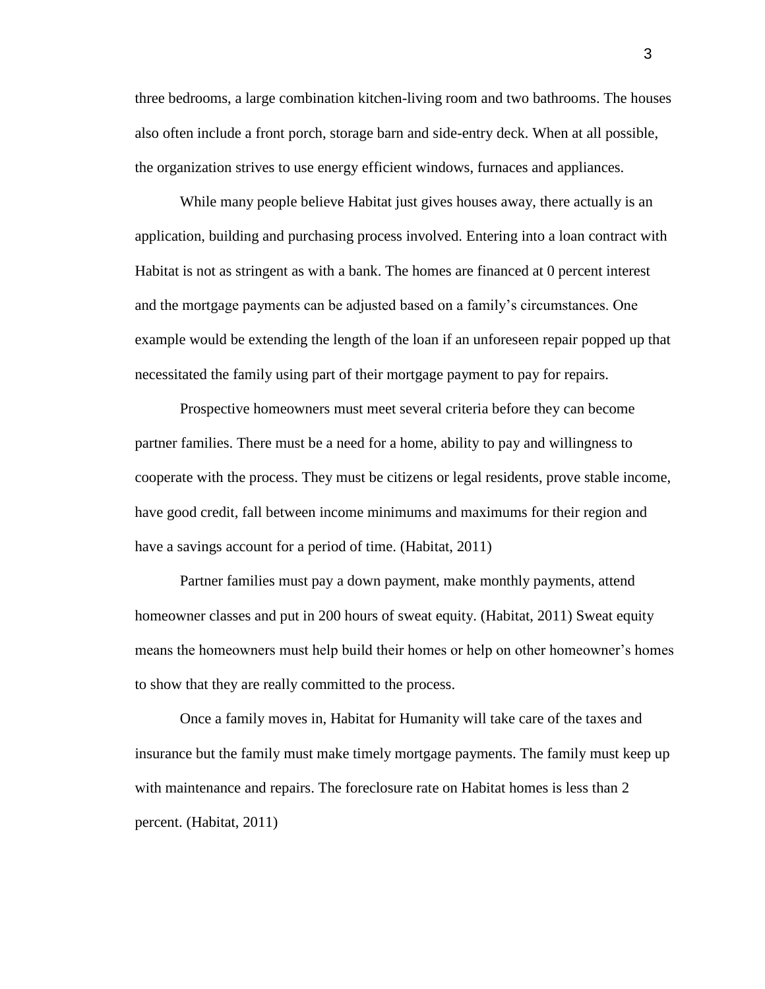three bedrooms, a large combination kitchen-living room and two bathrooms. The houses also often include a front porch, storage barn and side-entry deck. When at all possible, the organization strives to use energy efficient windows, furnaces and appliances.

While many people believe Habitat just gives houses away, there actually is an application, building and purchasing process involved. Entering into a loan contract with Habitat is not as stringent as with a bank. The homes are financed at 0 percent interest and the mortgage payments can be adjusted based on a family"s circumstances. One example would be extending the length of the loan if an unforeseen repair popped up that necessitated the family using part of their mortgage payment to pay for repairs.

Prospective homeowners must meet several criteria before they can become partner families. There must be a need for a home, ability to pay and willingness to cooperate with the process. They must be citizens or legal residents, prove stable income, have good credit, fall between income minimums and maximums for their region and have a savings account for a period of time. (Habitat, 2011)

Partner families must pay a down payment, make monthly payments, attend homeowner classes and put in 200 hours of sweat equity. (Habitat, 2011) Sweat equity means the homeowners must help build their homes or help on other homeowner"s homes to show that they are really committed to the process.

Once a family moves in, Habitat for Humanity will take care of the taxes and insurance but the family must make timely mortgage payments. The family must keep up with maintenance and repairs. The foreclosure rate on Habitat homes is less than 2 percent. (Habitat, 2011)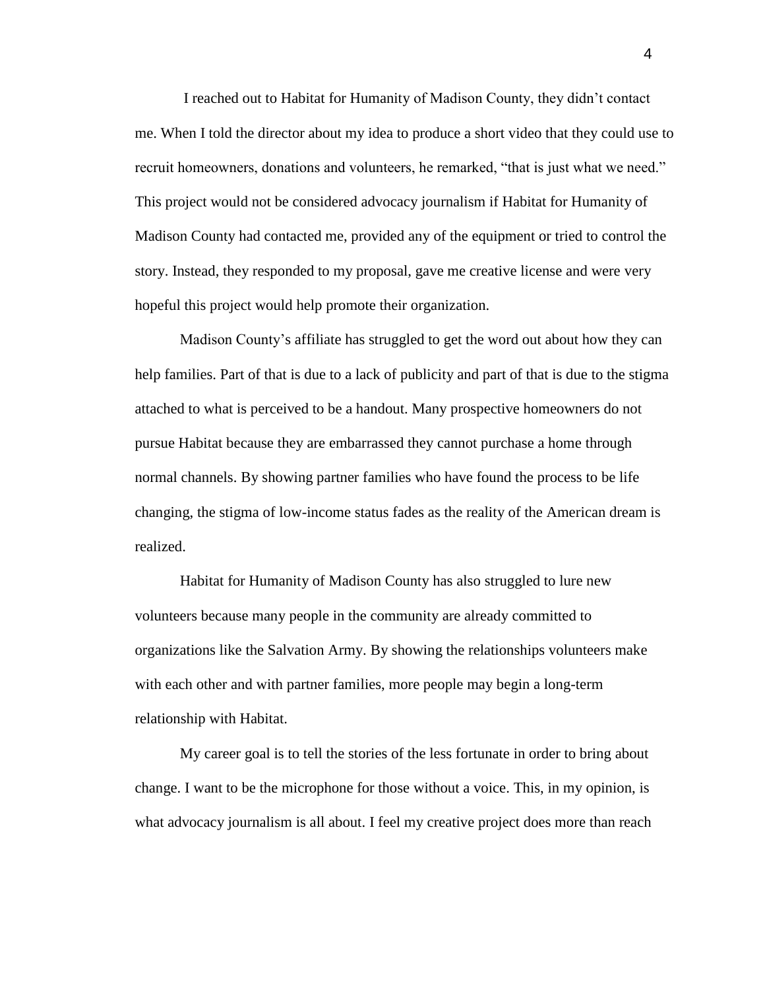I reached out to Habitat for Humanity of Madison County, they didn"t contact me. When I told the director about my idea to produce a short video that they could use to recruit homeowners, donations and volunteers, he remarked, "that is just what we need." This project would not be considered advocacy journalism if Habitat for Humanity of Madison County had contacted me, provided any of the equipment or tried to control the story. Instead, they responded to my proposal, gave me creative license and were very hopeful this project would help promote their organization.

Madison County"s affiliate has struggled to get the word out about how they can help families. Part of that is due to a lack of publicity and part of that is due to the stigma attached to what is perceived to be a handout. Many prospective homeowners do not pursue Habitat because they are embarrassed they cannot purchase a home through normal channels. By showing partner families who have found the process to be life changing, the stigma of low-income status fades as the reality of the American dream is realized.

Habitat for Humanity of Madison County has also struggled to lure new volunteers because many people in the community are already committed to organizations like the Salvation Army. By showing the relationships volunteers make with each other and with partner families, more people may begin a long-term relationship with Habitat.

My career goal is to tell the stories of the less fortunate in order to bring about change. I want to be the microphone for those without a voice. This, in my opinion, is what advocacy journalism is all about. I feel my creative project does more than reach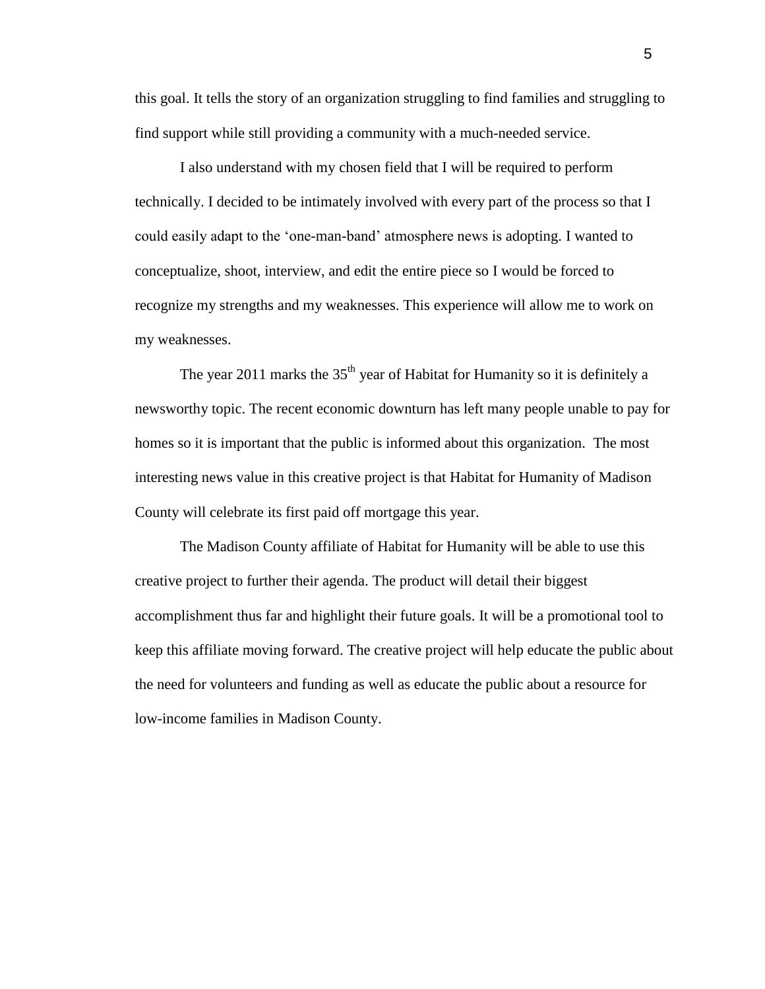this goal. It tells the story of an organization struggling to find families and struggling to find support while still providing a community with a much-needed service.

I also understand with my chosen field that I will be required to perform technically. I decided to be intimately involved with every part of the process so that I could easily adapt to the "one-man-band" atmosphere news is adopting. I wanted to conceptualize, shoot, interview, and edit the entire piece so I would be forced to recognize my strengths and my weaknesses. This experience will allow me to work on my weaknesses.

The year 2011 marks the  $35<sup>th</sup>$  year of Habitat for Humanity so it is definitely a newsworthy topic. The recent economic downturn has left many people unable to pay for homes so it is important that the public is informed about this organization. The most interesting news value in this creative project is that Habitat for Humanity of Madison County will celebrate its first paid off mortgage this year.

The Madison County affiliate of Habitat for Humanity will be able to use this creative project to further their agenda. The product will detail their biggest accomplishment thus far and highlight their future goals. It will be a promotional tool to keep this affiliate moving forward. The creative project will help educate the public about the need for volunteers and funding as well as educate the public about a resource for low-income families in Madison County.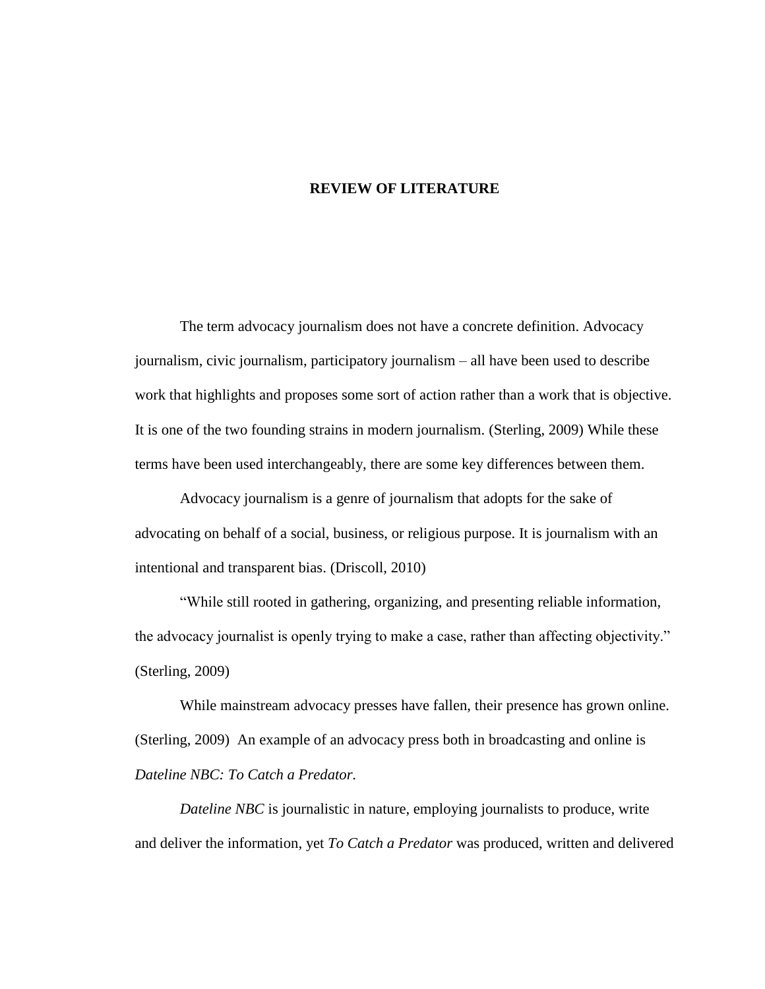#### **REVIEW OF LITERATURE**

The term advocacy journalism does not have a concrete definition. Advocacy journalism, civic journalism, participatory journalism – all have been used to describe work that highlights and proposes some sort of action rather than a work that is objective. It is one of the two founding strains in modern journalism. (Sterling, 2009) While these terms have been used interchangeably, there are some key differences between them.

Advocacy journalism is a genre of journalism that adopts for the sake of advocating on behalf of a social, business, or religious purpose. It is journalism with an intentional and transparent bias. (Driscoll, 2010)

"While still rooted in gathering, organizing, and presenting reliable information, the advocacy journalist is openly trying to make a case, rather than affecting objectivity." (Sterling, 2009)

While mainstream advocacy presses have fallen, their presence has grown online. (Sterling, 2009) An example of an advocacy press both in broadcasting and online is *Dateline NBC: To Catch a Predator.*

*Dateline NBC* is journalistic in nature, employing journalists to produce, write and deliver the information, yet *To Catch a Predator* was produced, written and delivered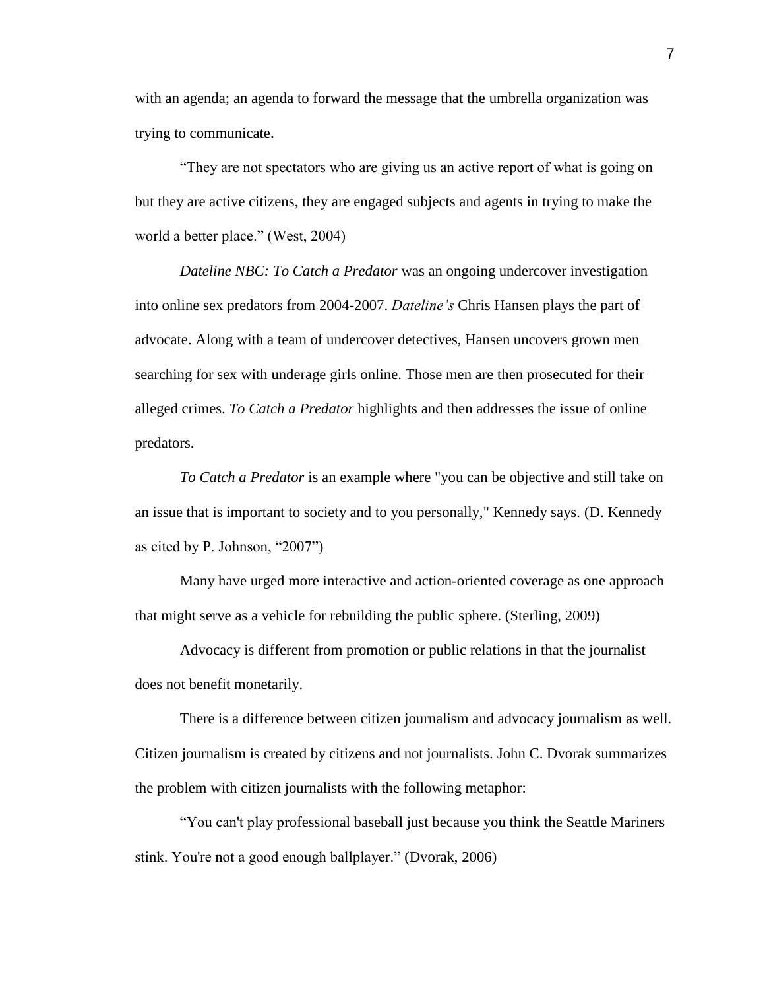with an agenda; an agenda to forward the message that the umbrella organization was trying to communicate.

"They are not spectators who are giving us an active report of what is going on but they are active citizens, they are engaged subjects and agents in trying to make the world a better place." (West, 2004)

*Dateline NBC: To Catch a Predator* was an ongoing undercover investigation into online sex predators from 2004-2007. *Dateline's* Chris Hansen plays the part of advocate. Along with a team of undercover detectives, Hansen uncovers grown men searching for sex with underage girls online. Those men are then prosecuted for their alleged crimes. *To Catch a Predator* highlights and then addresses the issue of online predators.

*To Catch a Predator* is an example where "you can be objective and still take on an issue that is important to society and to you personally," Kennedy says. (D. Kennedy as cited by P. Johnson, "2007")

Many have urged more interactive and action-oriented coverage as one approach that might serve as a vehicle for rebuilding the public sphere. (Sterling, 2009)

Advocacy is different from promotion or public relations in that the journalist does not benefit monetarily.

There is a difference between citizen journalism and advocacy journalism as well. Citizen journalism is created by citizens and not journalists. John C. Dvorak summarizes the problem with citizen journalists with the following metaphor:

"You can't play professional baseball just because you think the Seattle Mariners stink. You're not a good enough ballplayer." (Dvorak, 2006)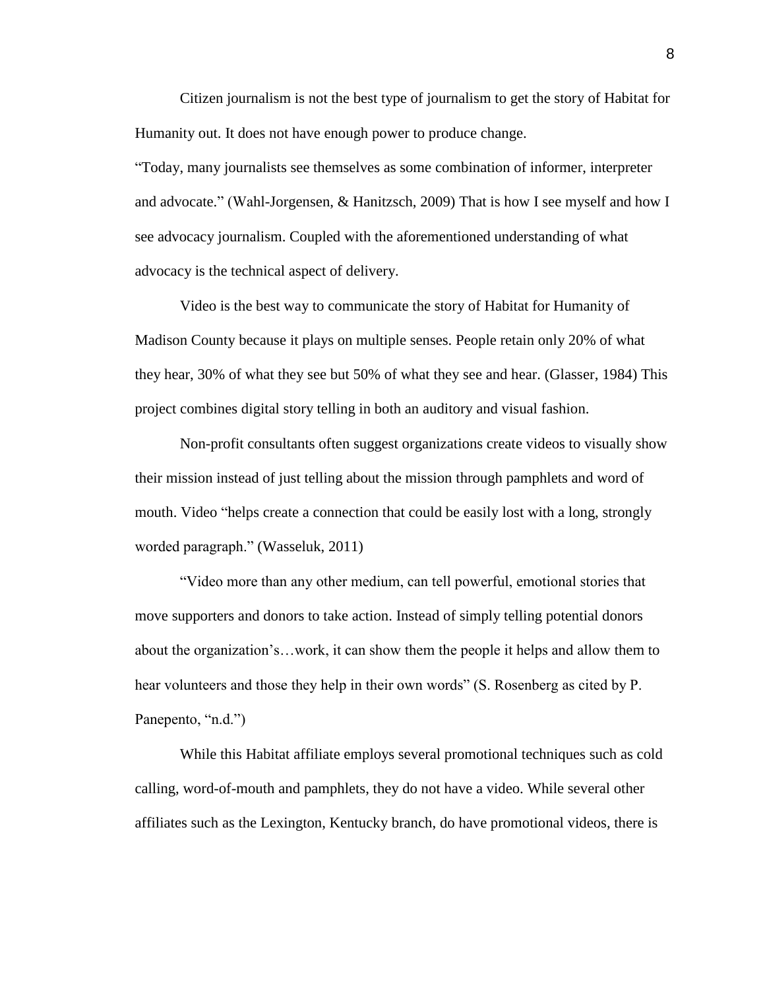Citizen journalism is not the best type of journalism to get the story of Habitat for Humanity out. It does not have enough power to produce change.

"Today, many journalists see themselves as some combination of informer, interpreter and advocate." (Wahl-Jorgensen, & Hanitzsch, 2009) That is how I see myself and how I see advocacy journalism. Coupled with the aforementioned understanding of what advocacy is the technical aspect of delivery.

Video is the best way to communicate the story of Habitat for Humanity of Madison County because it plays on multiple senses. People retain only 20% of what they hear, 30% of what they see but 50% of what they see and hear. (Glasser, 1984) This project combines digital story telling in both an auditory and visual fashion.

Non-profit consultants often suggest organizations create videos to visually show their mission instead of just telling about the mission through pamphlets and word of mouth. Video "helps create a connection that could be easily lost with a long, strongly worded paragraph." (Wasseluk, 2011)

"Video more than any other medium, can tell powerful, emotional stories that move supporters and donors to take action. Instead of simply telling potential donors about the organization"s…work, it can show them the people it helps and allow them to hear volunteers and those they help in their own words" (S. Rosenberg as cited by P. Panepento, "n.d.")

While this Habitat affiliate employs several promotional techniques such as cold calling, word-of-mouth and pamphlets, they do not have a video. While several other affiliates such as the Lexington, Kentucky branch, do have promotional videos, there is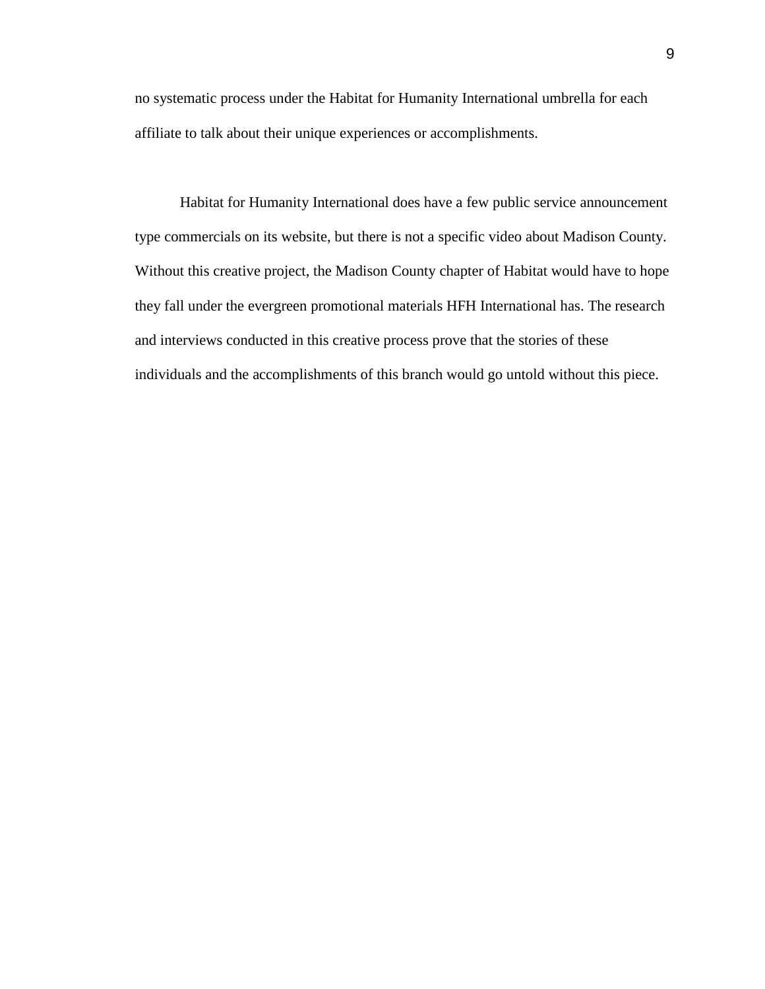no systematic process under the Habitat for Humanity International umbrella for each affiliate to talk about their unique experiences or accomplishments.

Habitat for Humanity International does have a few public service announcement type commercials on its website, but there is not a specific video about Madison County. Without this creative project, the Madison County chapter of Habitat would have to hope they fall under the evergreen promotional materials HFH International has. The research and interviews conducted in this creative process prove that the stories of these individuals and the accomplishments of this branch would go untold without this piece.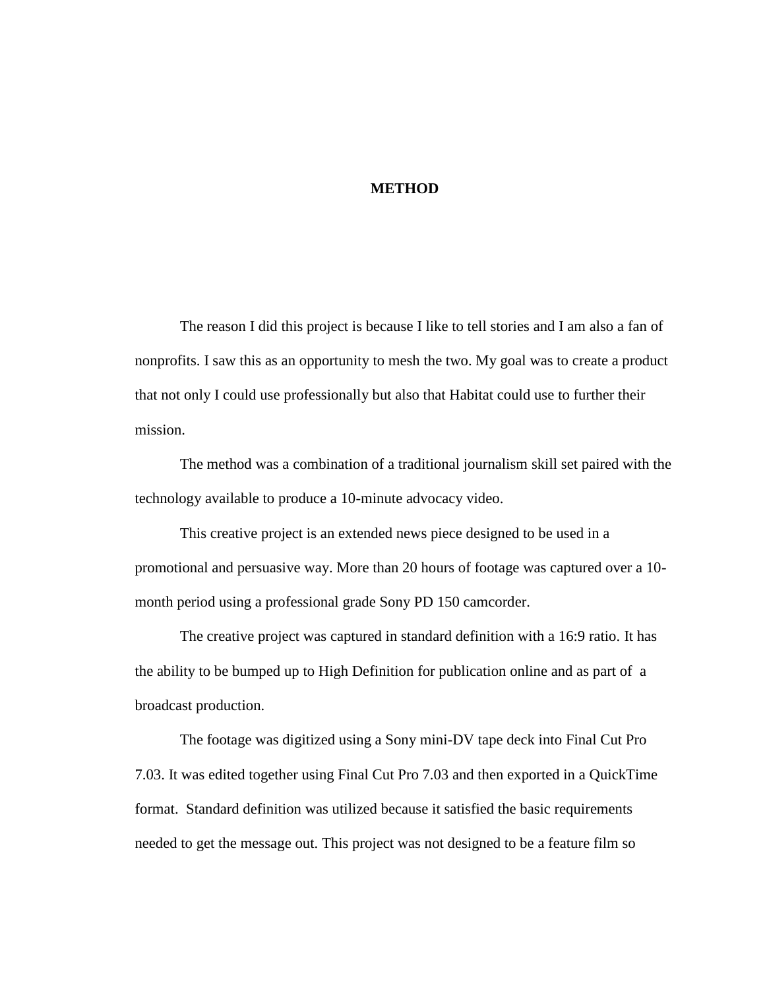#### **METHOD**

The reason I did this project is because I like to tell stories and I am also a fan of nonprofits. I saw this as an opportunity to mesh the two. My goal was to create a product that not only I could use professionally but also that Habitat could use to further their mission.

The method was a combination of a traditional journalism skill set paired with the technology available to produce a 10-minute advocacy video.

This creative project is an extended news piece designed to be used in a promotional and persuasive way. More than 20 hours of footage was captured over a 10 month period using a professional grade Sony PD 150 camcorder.

The creative project was captured in standard definition with a 16:9 ratio. It has the ability to be bumped up to High Definition for publication online and as part of a broadcast production.

The footage was digitized using a Sony mini-DV tape deck into Final Cut Pro 7.03. It was edited together using Final Cut Pro 7.03 and then exported in a QuickTime format. Standard definition was utilized because it satisfied the basic requirements needed to get the message out. This project was not designed to be a feature film so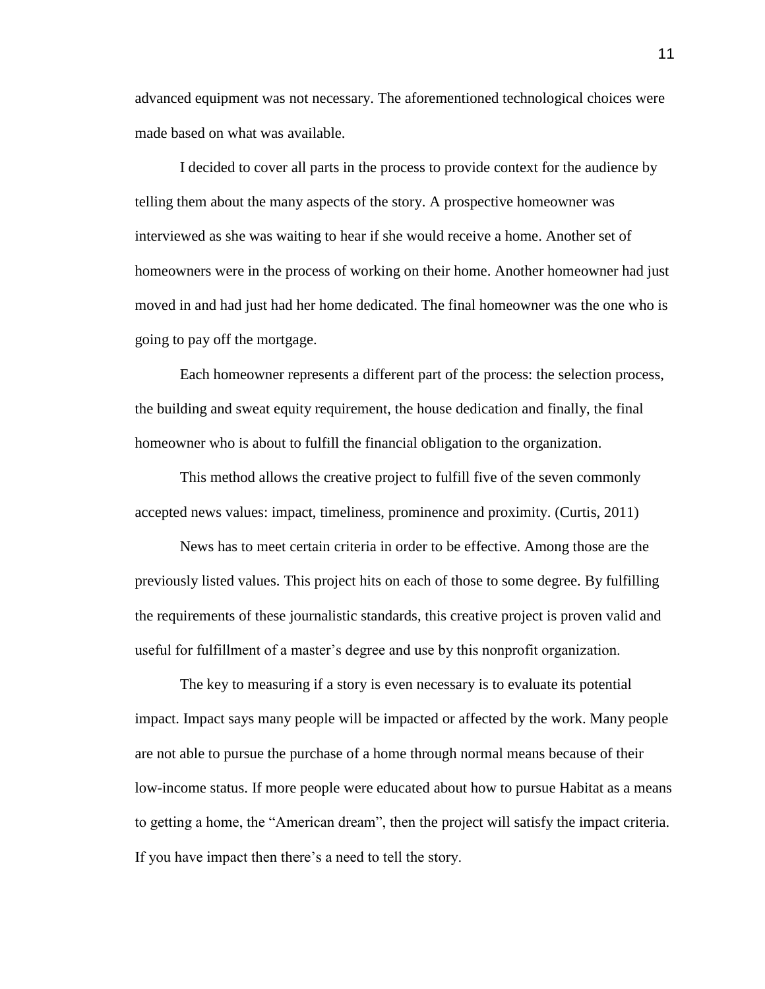advanced equipment was not necessary. The aforementioned technological choices were made based on what was available.

I decided to cover all parts in the process to provide context for the audience by telling them about the many aspects of the story. A prospective homeowner was interviewed as she was waiting to hear if she would receive a home. Another set of homeowners were in the process of working on their home. Another homeowner had just moved in and had just had her home dedicated. The final homeowner was the one who is going to pay off the mortgage.

Each homeowner represents a different part of the process: the selection process, the building and sweat equity requirement, the house dedication and finally, the final homeowner who is about to fulfill the financial obligation to the organization.

This method allows the creative project to fulfill five of the seven commonly accepted news values: impact, timeliness, prominence and proximity. (Curtis, 2011)

News has to meet certain criteria in order to be effective. Among those are the previously listed values. This project hits on each of those to some degree. By fulfilling the requirements of these journalistic standards, this creative project is proven valid and useful for fulfillment of a master"s degree and use by this nonprofit organization.

The key to measuring if a story is even necessary is to evaluate its potential impact. Impact says many people will be impacted or affected by the work. Many people are not able to pursue the purchase of a home through normal means because of their low-income status. If more people were educated about how to pursue Habitat as a means to getting a home, the "American dream", then the project will satisfy the impact criteria. If you have impact then there"s a need to tell the story.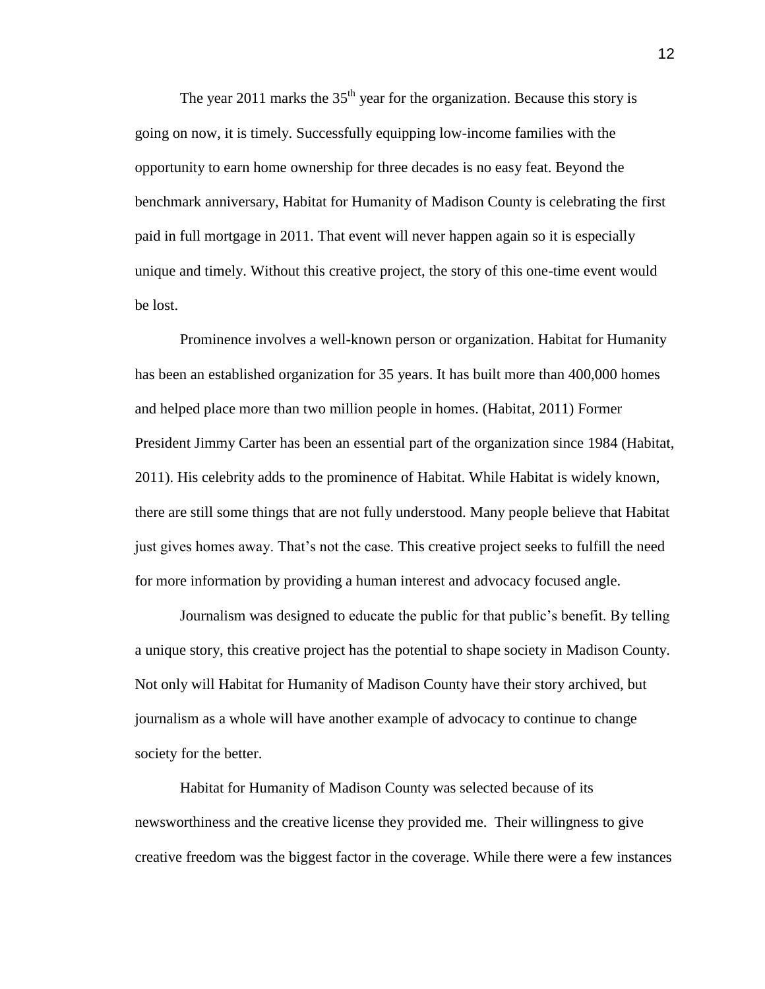The year 2011 marks the  $35<sup>th</sup>$  year for the organization. Because this story is going on now, it is timely. Successfully equipping low-income families with the opportunity to earn home ownership for three decades is no easy feat. Beyond the benchmark anniversary, Habitat for Humanity of Madison County is celebrating the first paid in full mortgage in 2011. That event will never happen again so it is especially unique and timely. Without this creative project, the story of this one-time event would be lost.

Prominence involves a well-known person or organization. Habitat for Humanity has been an established organization for 35 years. It has built more than 400,000 homes and helped place more than two million people in homes. (Habitat, 2011) Former President Jimmy Carter has been an essential part of the organization since 1984 (Habitat, 2011). His celebrity adds to the prominence of Habitat. While Habitat is widely known, there are still some things that are not fully understood. Many people believe that Habitat just gives homes away. That"s not the case. This creative project seeks to fulfill the need for more information by providing a human interest and advocacy focused angle.

Journalism was designed to educate the public for that public"s benefit. By telling a unique story, this creative project has the potential to shape society in Madison County. Not only will Habitat for Humanity of Madison County have their story archived, but journalism as a whole will have another example of advocacy to continue to change society for the better.

Habitat for Humanity of Madison County was selected because of its newsworthiness and the creative license they provided me. Their willingness to give creative freedom was the biggest factor in the coverage. While there were a few instances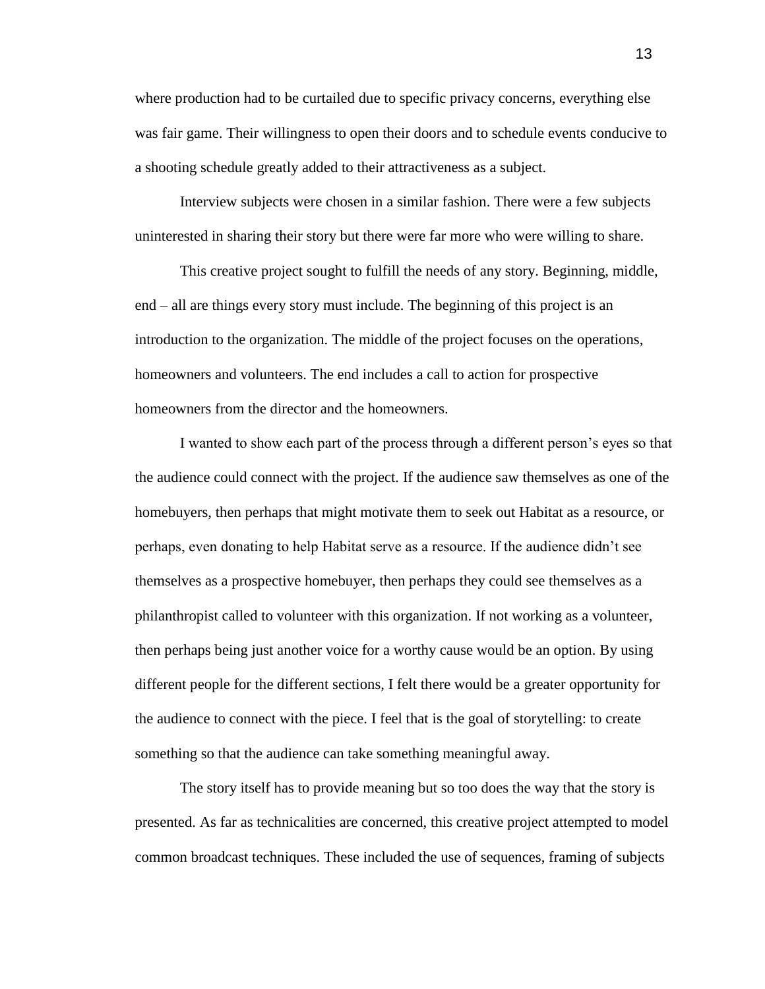where production had to be curtailed due to specific privacy concerns, everything else was fair game. Their willingness to open their doors and to schedule events conducive to a shooting schedule greatly added to their attractiveness as a subject.

Interview subjects were chosen in a similar fashion. There were a few subjects uninterested in sharing their story but there were far more who were willing to share.

This creative project sought to fulfill the needs of any story. Beginning, middle, end – all are things every story must include. The beginning of this project is an introduction to the organization. The middle of the project focuses on the operations, homeowners and volunteers. The end includes a call to action for prospective homeowners from the director and the homeowners.

I wanted to show each part of the process through a different person"s eyes so that the audience could connect with the project. If the audience saw themselves as one of the homebuyers, then perhaps that might motivate them to seek out Habitat as a resource, or perhaps, even donating to help Habitat serve as a resource. If the audience didn"t see themselves as a prospective homebuyer, then perhaps they could see themselves as a philanthropist called to volunteer with this organization. If not working as a volunteer, then perhaps being just another voice for a worthy cause would be an option. By using different people for the different sections, I felt there would be a greater opportunity for the audience to connect with the piece. I feel that is the goal of storytelling: to create something so that the audience can take something meaningful away.

The story itself has to provide meaning but so too does the way that the story is presented. As far as technicalities are concerned, this creative project attempted to model common broadcast techniques. These included the use of sequences, framing of subjects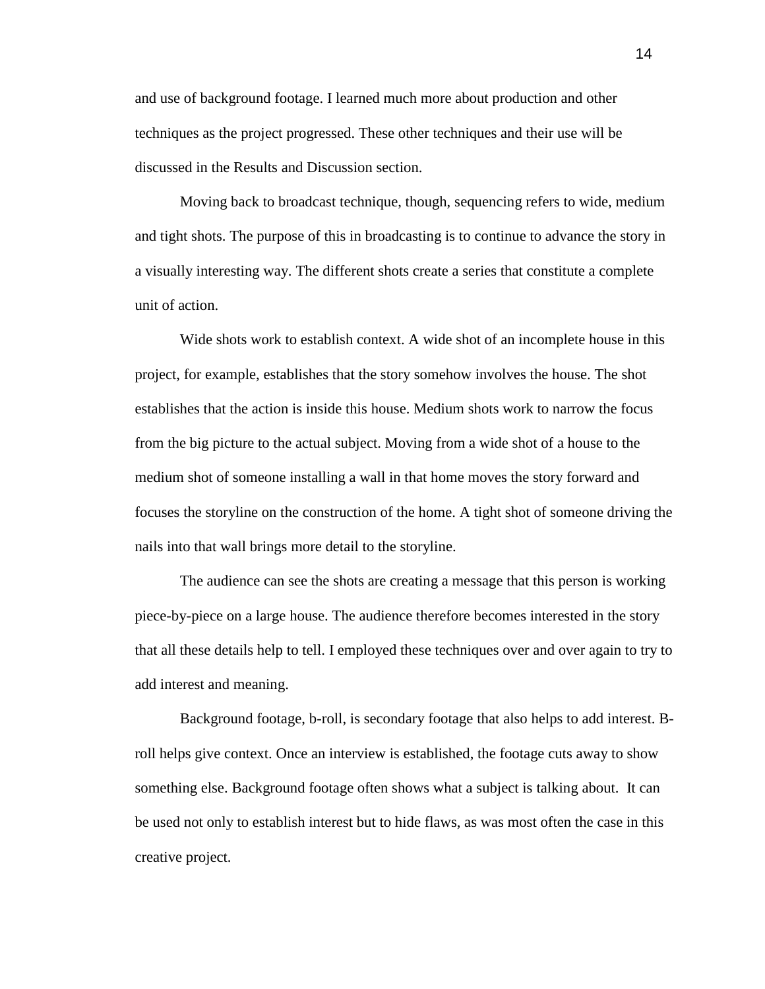and use of background footage. I learned much more about production and other techniques as the project progressed. These other techniques and their use will be discussed in the Results and Discussion section.

Moving back to broadcast technique, though, sequencing refers to wide, medium and tight shots. The purpose of this in broadcasting is to continue to advance the story in a visually interesting way. The different shots create a series that constitute a complete unit of action.

Wide shots work to establish context. A wide shot of an incomplete house in this project, for example, establishes that the story somehow involves the house. The shot establishes that the action is inside this house. Medium shots work to narrow the focus from the big picture to the actual subject. Moving from a wide shot of a house to the medium shot of someone installing a wall in that home moves the story forward and focuses the storyline on the construction of the home. A tight shot of someone driving the nails into that wall brings more detail to the storyline.

The audience can see the shots are creating a message that this person is working piece-by-piece on a large house. The audience therefore becomes interested in the story that all these details help to tell. I employed these techniques over and over again to try to add interest and meaning.

Background footage, b-roll, is secondary footage that also helps to add interest. Broll helps give context. Once an interview is established, the footage cuts away to show something else. Background footage often shows what a subject is talking about. It can be used not only to establish interest but to hide flaws, as was most often the case in this creative project.

14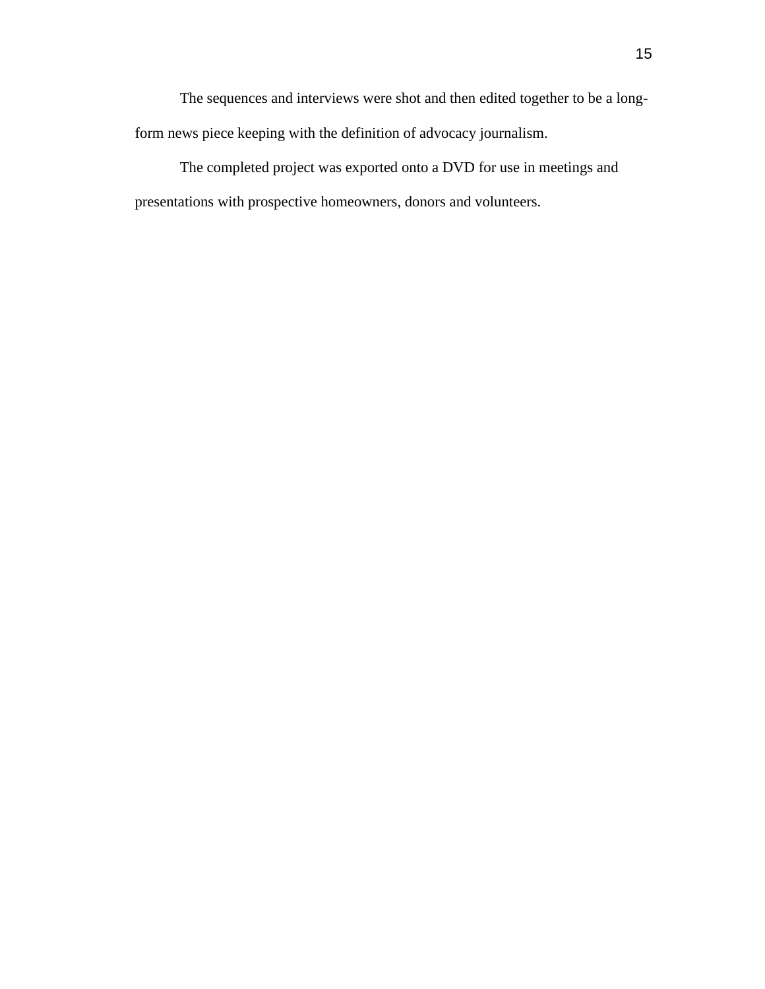The sequences and interviews were shot and then edited together to be a longform news piece keeping with the definition of advocacy journalism.

The completed project was exported onto a DVD for use in meetings and presentations with prospective homeowners, donors and volunteers.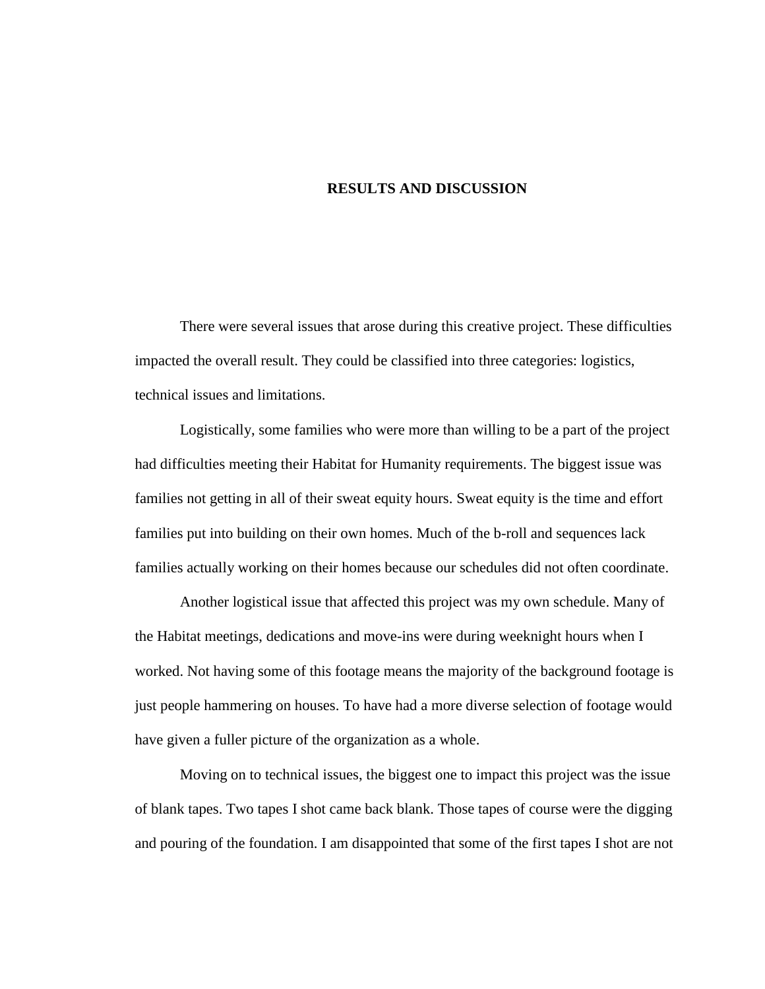#### **RESULTS AND DISCUSSION**

There were several issues that arose during this creative project. These difficulties impacted the overall result. They could be classified into three categories: logistics, technical issues and limitations.

Logistically, some families who were more than willing to be a part of the project had difficulties meeting their Habitat for Humanity requirements. The biggest issue was families not getting in all of their sweat equity hours. Sweat equity is the time and effort families put into building on their own homes. Much of the b-roll and sequences lack families actually working on their homes because our schedules did not often coordinate.

Another logistical issue that affected this project was my own schedule. Many of the Habitat meetings, dedications and move-ins were during weeknight hours when I worked. Not having some of this footage means the majority of the background footage is just people hammering on houses. To have had a more diverse selection of footage would have given a fuller picture of the organization as a whole.

Moving on to technical issues, the biggest one to impact this project was the issue of blank tapes. Two tapes I shot came back blank. Those tapes of course were the digging and pouring of the foundation. I am disappointed that some of the first tapes I shot are not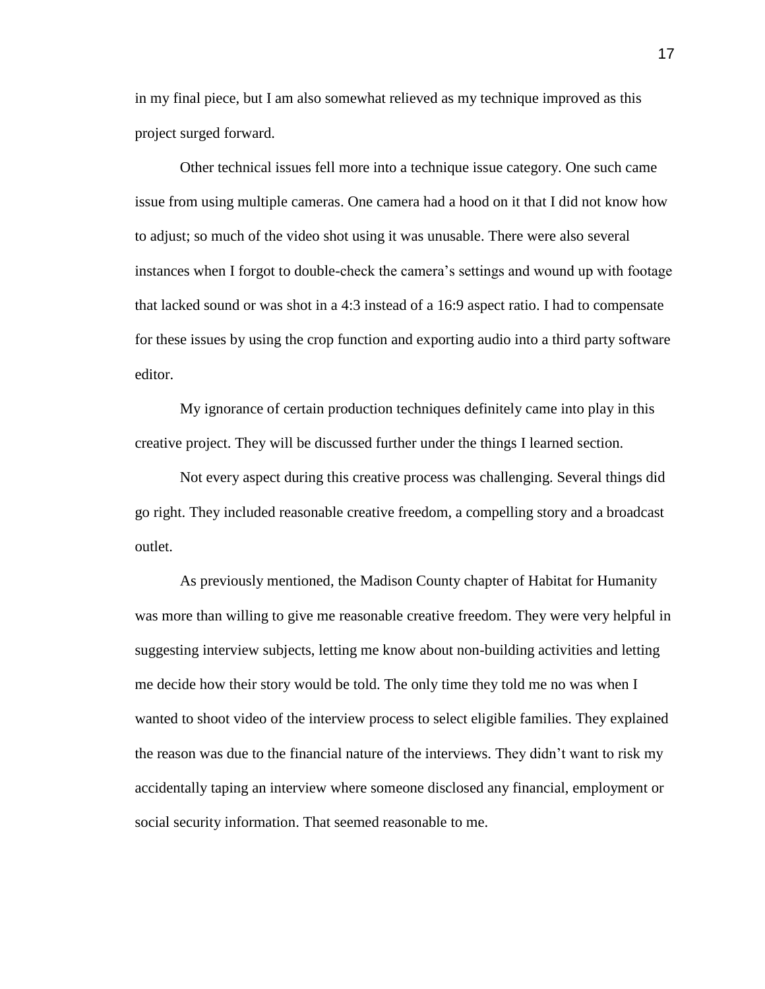in my final piece, but I am also somewhat relieved as my technique improved as this project surged forward.

Other technical issues fell more into a technique issue category. One such came issue from using multiple cameras. One camera had a hood on it that I did not know how to adjust; so much of the video shot using it was unusable. There were also several instances when I forgot to double-check the camera"s settings and wound up with footage that lacked sound or was shot in a 4:3 instead of a 16:9 aspect ratio. I had to compensate for these issues by using the crop function and exporting audio into a third party software editor.

My ignorance of certain production techniques definitely came into play in this creative project. They will be discussed further under the things I learned section.

Not every aspect during this creative process was challenging. Several things did go right. They included reasonable creative freedom, a compelling story and a broadcast outlet.

As previously mentioned, the Madison County chapter of Habitat for Humanity was more than willing to give me reasonable creative freedom. They were very helpful in suggesting interview subjects, letting me know about non-building activities and letting me decide how their story would be told. The only time they told me no was when I wanted to shoot video of the interview process to select eligible families. They explained the reason was due to the financial nature of the interviews. They didn"t want to risk my accidentally taping an interview where someone disclosed any financial, employment or social security information. That seemed reasonable to me.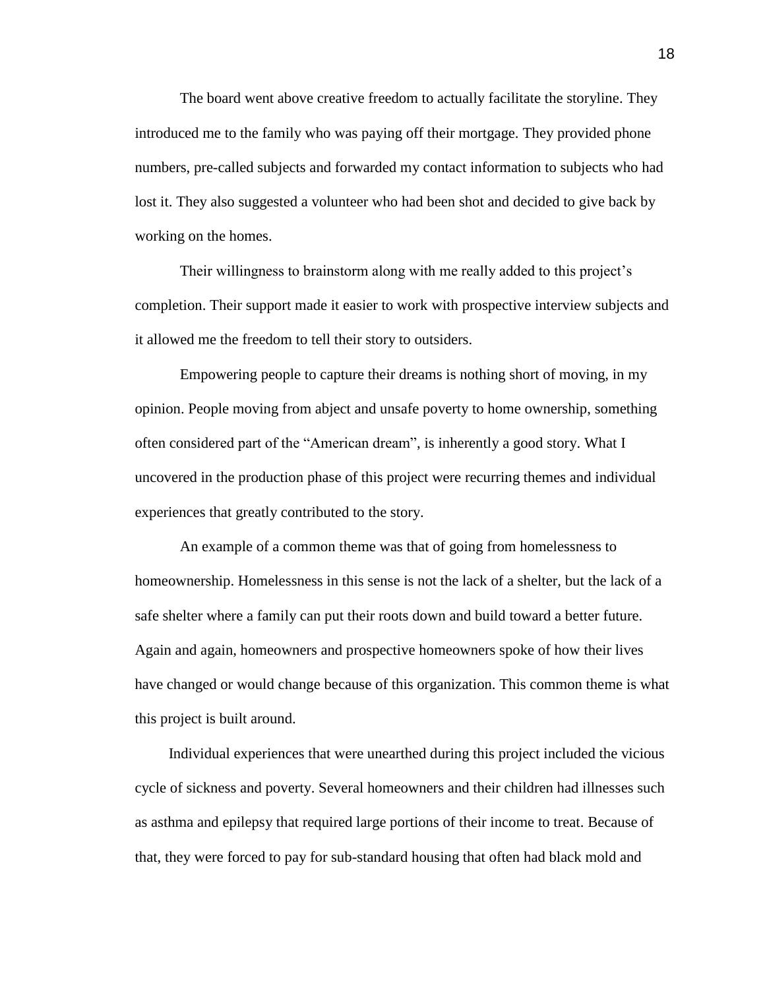The board went above creative freedom to actually facilitate the storyline. They introduced me to the family who was paying off their mortgage. They provided phone numbers, pre-called subjects and forwarded my contact information to subjects who had lost it. They also suggested a volunteer who had been shot and decided to give back by working on the homes.

Their willingness to brainstorm along with me really added to this project's completion. Their support made it easier to work with prospective interview subjects and it allowed me the freedom to tell their story to outsiders.

Empowering people to capture their dreams is nothing short of moving, in my opinion. People moving from abject and unsafe poverty to home ownership, something often considered part of the "American dream", is inherently a good story. What I uncovered in the production phase of this project were recurring themes and individual experiences that greatly contributed to the story.

An example of a common theme was that of going from homelessness to homeownership. Homelessness in this sense is not the lack of a shelter, but the lack of a safe shelter where a family can put their roots down and build toward a better future. Again and again, homeowners and prospective homeowners spoke of how their lives have changed or would change because of this organization. This common theme is what this project is built around.

 Individual experiences that were unearthed during this project included the vicious cycle of sickness and poverty. Several homeowners and their children had illnesses such as asthma and epilepsy that required large portions of their income to treat. Because of that, they were forced to pay for sub-standard housing that often had black mold and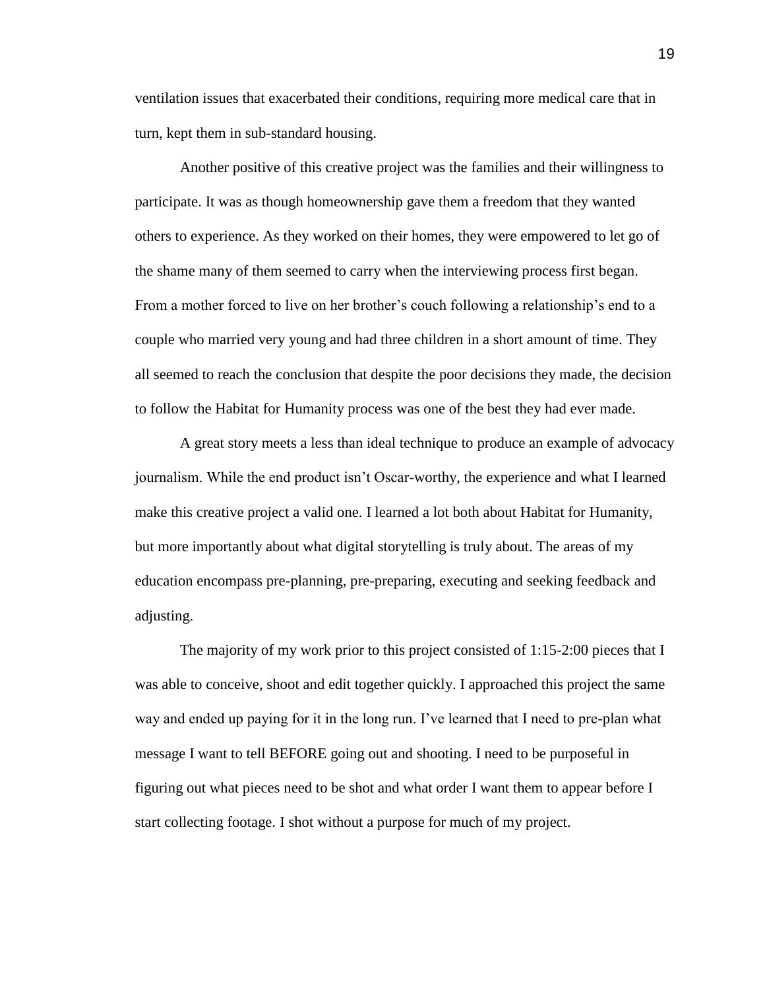ventilation issues that exacerbated their conditions, requiring more medical care that in turn, kept them in sub-standard housing.

Another positive of this creative project was the families and their willingness to participate. It was as though homeownership gave them a freedom that they wanted others to experience. As they worked on their homes, they were empowered to let go of the shame many of them seemed to carry when the interviewing process first began. From a mother forced to live on her brother's couch following a relationship's end to a couple who married very young and had three children in a short amount of time. They all seemed to reach the conclusion that despite the poor decisions they made, the decision to follow the Habitat for Humanity process was one of the best they had ever made.

A great story meets a less than ideal technique to produce an example of advocacy journalism. While the end product isn"t Oscar-worthy, the experience and what I learned make this creative project a valid one. I learned a lot both about Habitat for Humanity, but more importantly about what digital storytelling is truly about. The areas of my education encompass pre-planning, pre-preparing, executing and seeking feedback and adjusting.

The majority of my work prior to this project consisted of 1:15-2:00 pieces that I was able to conceive, shoot and edit together quickly. I approached this project the same way and ended up paying for it in the long run. I"ve learned that I need to pre-plan what message I want to tell BEFORE going out and shooting. I need to be purposeful in figuring out what pieces need to be shot and what order I want them to appear before I start collecting footage. I shot without a purpose for much of my project.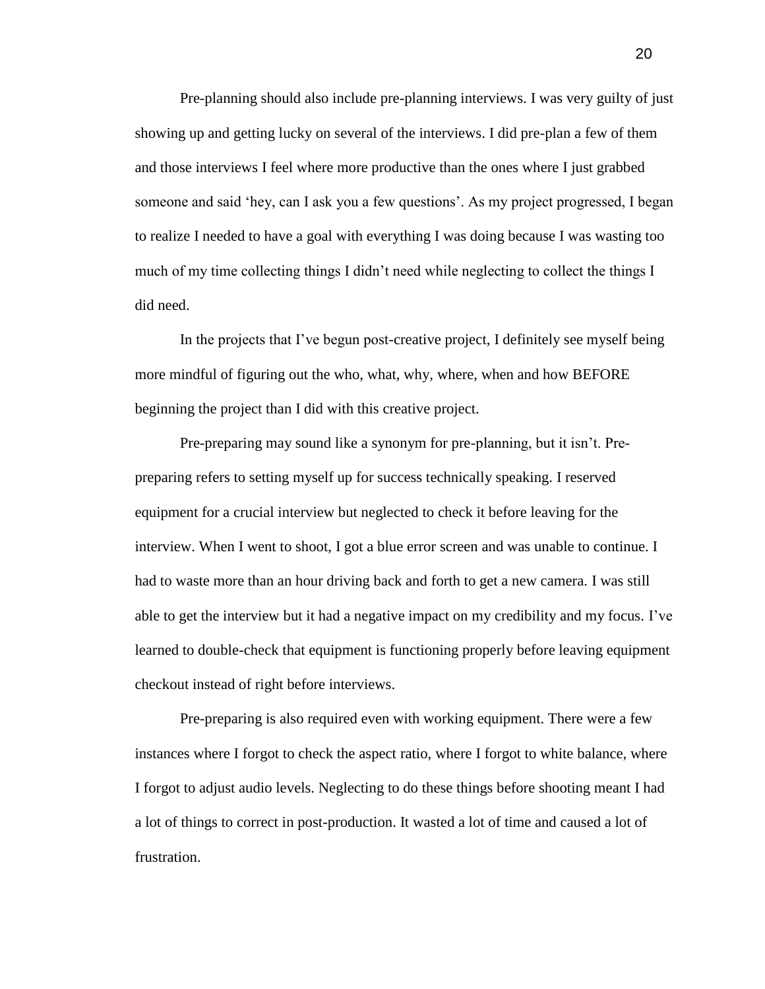Pre-planning should also include pre-planning interviews. I was very guilty of just showing up and getting lucky on several of the interviews. I did pre-plan a few of them and those interviews I feel where more productive than the ones where I just grabbed someone and said "hey, can I ask you a few questions". As my project progressed, I began to realize I needed to have a goal with everything I was doing because I was wasting too much of my time collecting things I didn"t need while neglecting to collect the things I did need.

In the projects that I"ve begun post-creative project, I definitely see myself being more mindful of figuring out the who, what, why, where, when and how BEFORE beginning the project than I did with this creative project.

Pre-preparing may sound like a synonym for pre-planning, but it isn"t. Prepreparing refers to setting myself up for success technically speaking. I reserved equipment for a crucial interview but neglected to check it before leaving for the interview. When I went to shoot, I got a blue error screen and was unable to continue. I had to waste more than an hour driving back and forth to get a new camera. I was still able to get the interview but it had a negative impact on my credibility and my focus. I"ve learned to double-check that equipment is functioning properly before leaving equipment checkout instead of right before interviews.

Pre-preparing is also required even with working equipment. There were a few instances where I forgot to check the aspect ratio, where I forgot to white balance, where I forgot to adjust audio levels. Neglecting to do these things before shooting meant I had a lot of things to correct in post-production. It wasted a lot of time and caused a lot of frustration.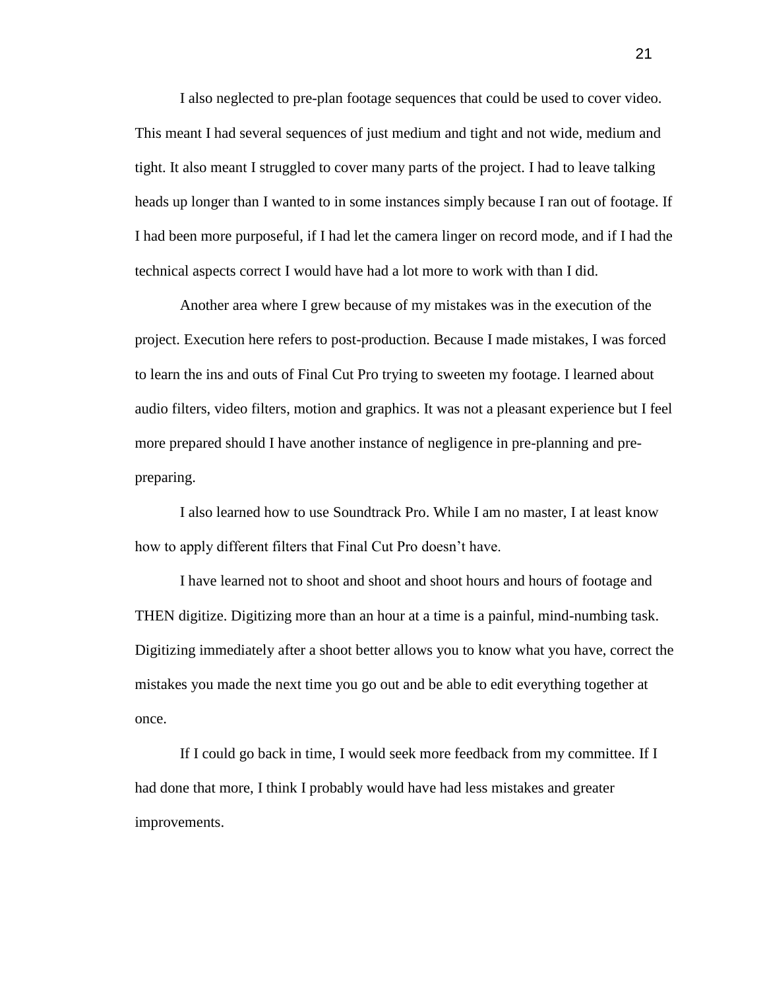I also neglected to pre-plan footage sequences that could be used to cover video. This meant I had several sequences of just medium and tight and not wide, medium and tight. It also meant I struggled to cover many parts of the project. I had to leave talking heads up longer than I wanted to in some instances simply because I ran out of footage. If I had been more purposeful, if I had let the camera linger on record mode, and if I had the technical aspects correct I would have had a lot more to work with than I did.

Another area where I grew because of my mistakes was in the execution of the project. Execution here refers to post-production. Because I made mistakes, I was forced to learn the ins and outs of Final Cut Pro trying to sweeten my footage. I learned about audio filters, video filters, motion and graphics. It was not a pleasant experience but I feel more prepared should I have another instance of negligence in pre-planning and prepreparing.

I also learned how to use Soundtrack Pro. While I am no master, I at least know how to apply different filters that Final Cut Pro doesn"t have.

I have learned not to shoot and shoot and shoot hours and hours of footage and THEN digitize. Digitizing more than an hour at a time is a painful, mind-numbing task. Digitizing immediately after a shoot better allows you to know what you have, correct the mistakes you made the next time you go out and be able to edit everything together at once.

If I could go back in time, I would seek more feedback from my committee. If I had done that more, I think I probably would have had less mistakes and greater improvements.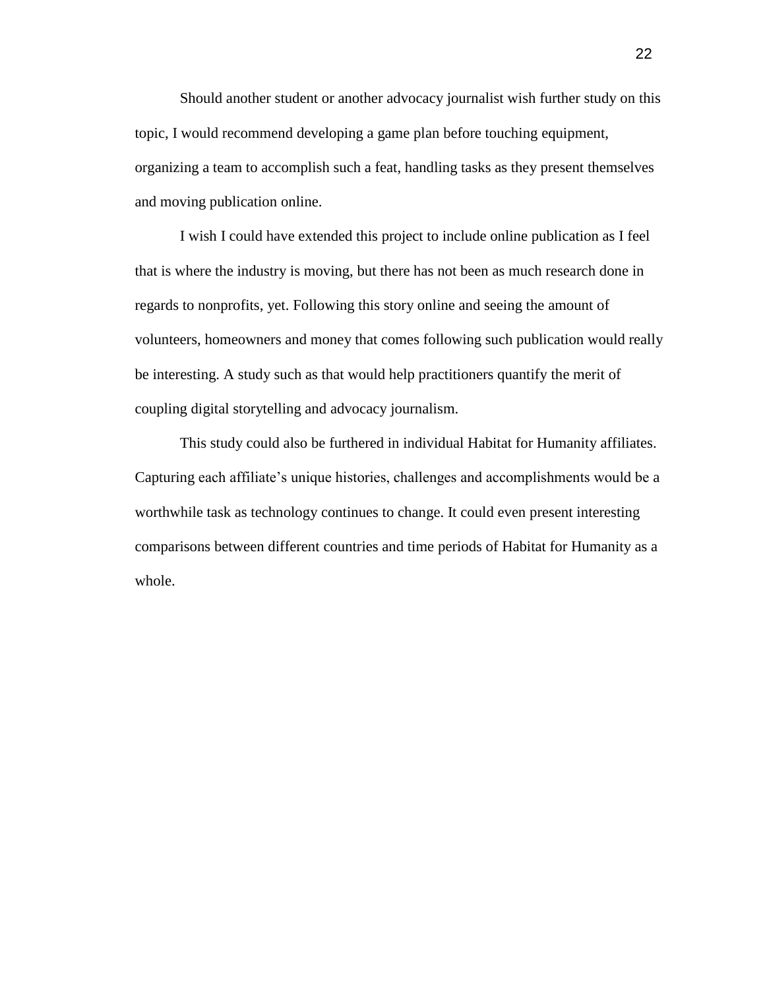Should another student or another advocacy journalist wish further study on this topic, I would recommend developing a game plan before touching equipment, organizing a team to accomplish such a feat, handling tasks as they present themselves and moving publication online.

I wish I could have extended this project to include online publication as I feel that is where the industry is moving, but there has not been as much research done in regards to nonprofits, yet. Following this story online and seeing the amount of volunteers, homeowners and money that comes following such publication would really be interesting. A study such as that would help practitioners quantify the merit of coupling digital storytelling and advocacy journalism.

This study could also be furthered in individual Habitat for Humanity affiliates. Capturing each affiliate"s unique histories, challenges and accomplishments would be a worthwhile task as technology continues to change. It could even present interesting comparisons between different countries and time periods of Habitat for Humanity as a whole.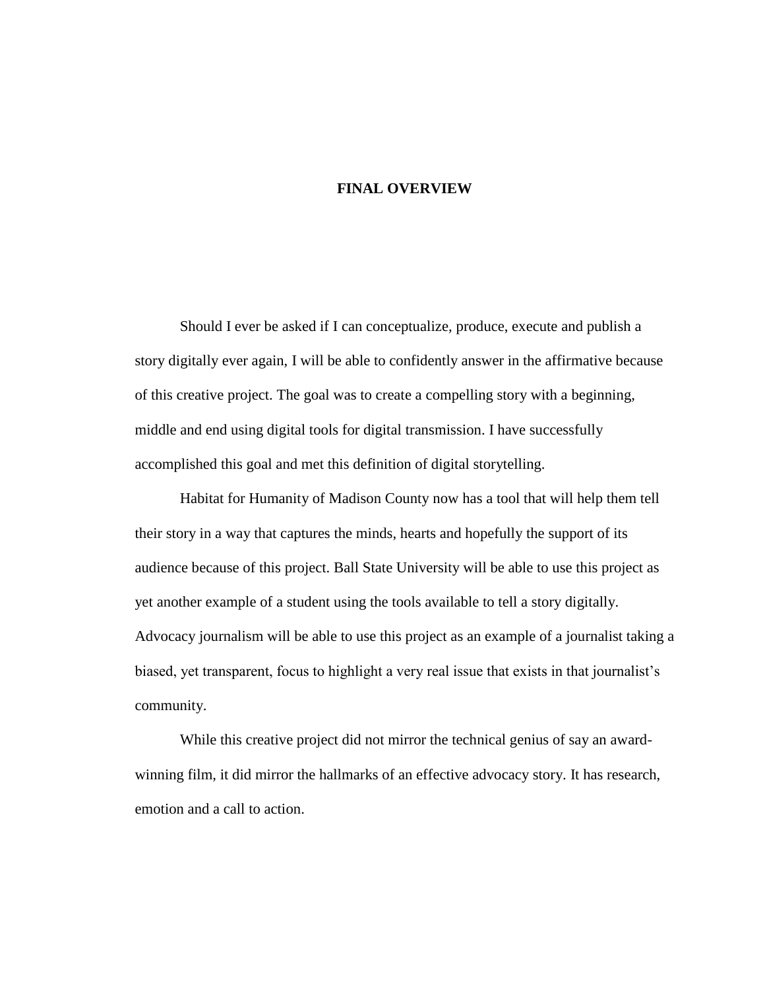#### **FINAL OVERVIEW**

Should I ever be asked if I can conceptualize, produce, execute and publish a story digitally ever again, I will be able to confidently answer in the affirmative because of this creative project. The goal was to create a compelling story with a beginning, middle and end using digital tools for digital transmission. I have successfully accomplished this goal and met this definition of digital storytelling.

Habitat for Humanity of Madison County now has a tool that will help them tell their story in a way that captures the minds, hearts and hopefully the support of its audience because of this project. Ball State University will be able to use this project as yet another example of a student using the tools available to tell a story digitally. Advocacy journalism will be able to use this project as an example of a journalist taking a biased, yet transparent, focus to highlight a very real issue that exists in that journalist"s community.

While this creative project did not mirror the technical genius of say an awardwinning film, it did mirror the hallmarks of an effective advocacy story. It has research, emotion and a call to action.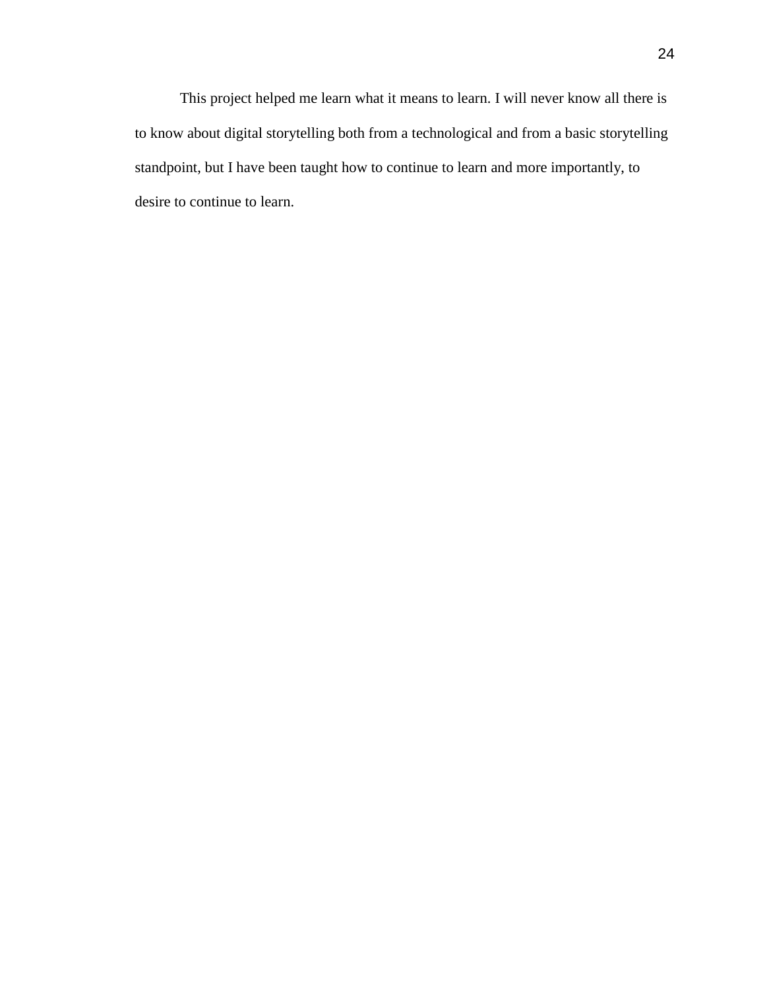This project helped me learn what it means to learn. I will never know all there is to know about digital storytelling both from a technological and from a basic storytelling standpoint, but I have been taught how to continue to learn and more importantly, to desire to continue to learn.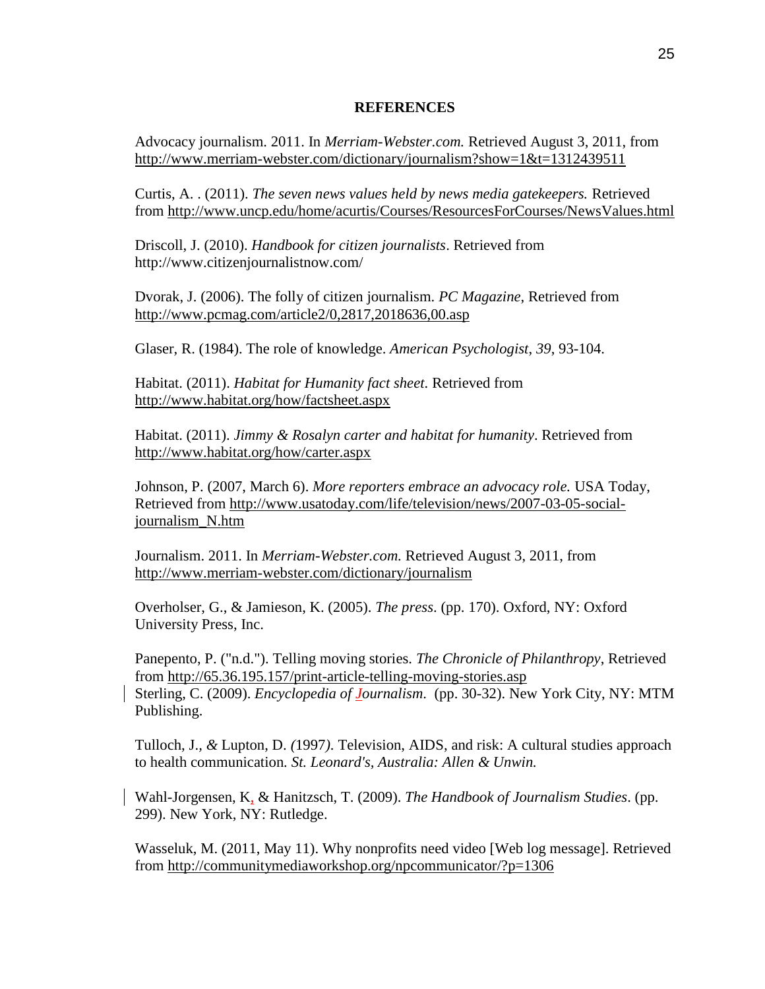#### **REFERENCES**

Advocacy journalism. 2011. In *Merriam-Webster.com.* Retrieved August 3, 2011, from <http://www.merriam-webster.com/dictionary/journalism?show=1&t=1312439511>

Curtis, A. . (2011). *The seven news values held by news media gatekeepers.* Retrieved from<http://www.uncp.edu/home/acurtis/Courses/ResourcesForCourses/NewsValues.html>

Driscoll, J. (2010). *Handbook for citizen journalists*. Retrieved from http://www.citizenjournalistnow.com/

Dvorak, J. (2006). The folly of citizen journalism. *PC Magazine*, Retrieved from <http://www.pcmag.com/article2/0,2817,2018636,00.asp>

Glaser, R. (1984). The role of knowledge. *American Psychologist*, *39*, 93-104.

Habitat. (2011). *Habitat for Humanity fact sheet*. Retrieved from <http://www.habitat.org/how/factsheet.aspx>

Habitat. (2011). *Jimmy & Rosalyn carter and habitat for humanity*. Retrieved from <http://www.habitat.org/how/carter.aspx>

Johnson, P. (2007, March 6). *More reporters embrace an advocacy role.* USA Today, Retrieved from [http://www.usatoday.com/life/television/news/2007-03-05-social](http://www.usatoday.com/life/television/news/2007-03-05-social-journalism_N.htm)[journalism\\_N.htm](http://www.usatoday.com/life/television/news/2007-03-05-social-journalism_N.htm)

Journalism. 2011. In *Merriam-Webster.com.* Retrieved August 3, 2011, from <http://www.merriam-webster.com/dictionary/journalism>

Overholser, G., & Jamieson, K. (2005). *The press*. (pp. 170). Oxford, NY: Oxford University Press, Inc.

Panepento, P. ("n.d."). Telling moving stories. *The Chronicle of Philanthropy*, Retrieved from<http://65.36.195.157/print-article-telling-moving-stories.asp> Sterling, C. (2009). *Encyclopedia of Journalism*. (pp. 30-32). New York City, NY: MTM Publishing.

Tulloch, J.*, &* Lupton, D. *(*1997*).* Television, AIDS, and risk: A cultural studies approach to health communication*. St. Leonard's, Australia: Allen & Unwin.*

Wahl-Jorgensen, K, & Hanitzsch, T. (2009). *The Handbook of Journalism Studies*. (pp. 299). New York, NY: Rutledge.

Wasseluk, M. (2011, May 11). Why nonprofits need video [Web log message]. Retrieved from<http://communitymediaworkshop.org/npcommunicator/?p=1306>